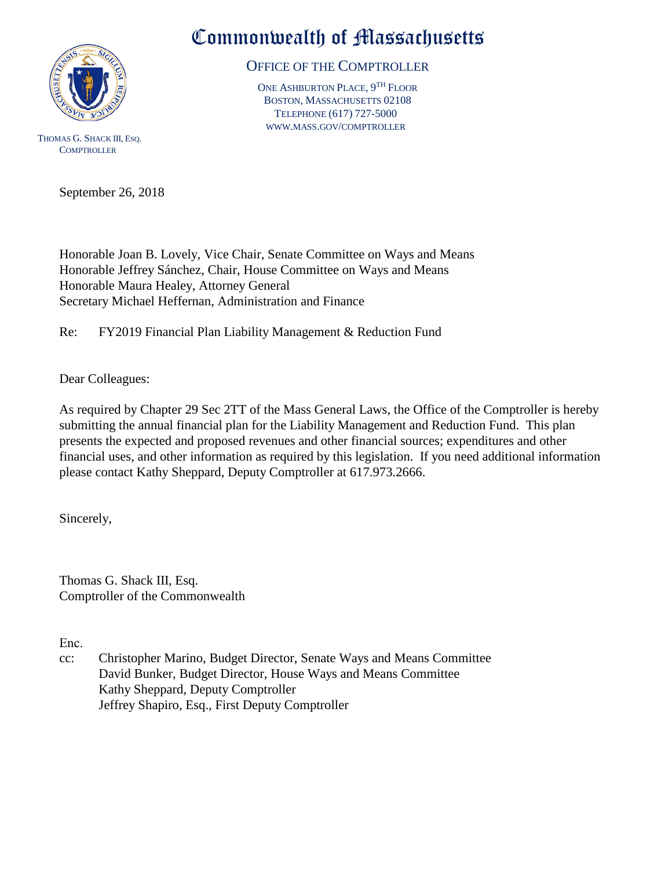

THOMAS G. SHACK III, ESQ. **COMPTROLLER** 

## Commonwealth of Massachusetts

OFFICE OF THE COMPTROLLER

ONE ASHBURTON PLACE, 9TH FLOOR BOSTON, MASSACHUSETTS 02108 TELEPHONE (617) 727-5000 WWW.MASS.GOV/COMPTROLLER

September 26, 2018

Honorable Joan B. Lovely, Vice Chair, Senate Committee on Ways and Means Honorable Jeffrey Sánchez, Chair, House Committee on Ways and Means Honorable Maura Healey, Attorney General Secretary Michael Heffernan, Administration and Finance

Re: FY2019 Financial Plan Liability Management & Reduction Fund

Dear Colleagues:

As required by Chapter 29 Sec 2TT of the Mass General Laws, the Office of the Comptroller is hereby submitting the annual financial plan for the Liability Management and Reduction Fund. This plan presents the expected and proposed revenues and other financial sources; expenditures and other financial uses, and other information as required by this legislation. If you need additional information please contact Kathy Sheppard, Deputy Comptroller at 617.973.2666.

Sincerely,

Thomas G. Shack III, Esq. Comptroller of the Commonwealth

Enc.

cc: Christopher Marino, Budget Director, Senate Ways and Means Committee David Bunker, Budget Director, House Ways and Means Committee Kathy Sheppard, Deputy Comptroller Jeffrey Shapiro, Esq., First Deputy Comptroller